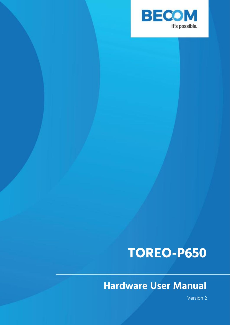

## **TOREO-P650**

## **Hardware User Manual**

Version 2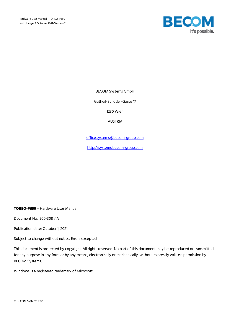

BECOM Systems GmbH

Gutheil-Schoder-Gasse 17

1230 Wien

AUSTRIA

[office.systems@becom-group.com](mailto:office.systems@becom-group.com)

[http://systems.becom-group.com](http://systems.becom-group.com/)

**TOREO-P650** – Hardware User Manual

Document No.: 900-308 / A

Publication date: October 1, 2021

Subject to change without notice. Errors excepted.

This document is protected by copyright. All rights reserved. No part of this document may be reproduced or transmitted for any purpose in any form or by any means, electronically or mechanically, without expressly written permission by BECOM Systems.

Windows is a registered trademark of Microsoft.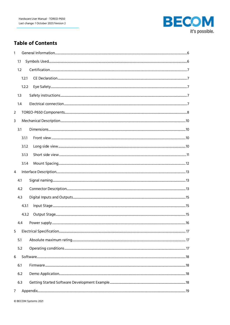

## **Table of Contents**

| $\mathbf{1}$   |                 |       |    |
|----------------|-----------------|-------|----|
|                | 1.1             |       |    |
|                | 1.2             |       |    |
|                |                 | 1.2.1 |    |
|                |                 | 1.2.2 |    |
|                | 1.3             |       |    |
|                | 1.4             |       |    |
| $\overline{2}$ |                 |       |    |
| 3              |                 |       |    |
|                | 3.1             |       |    |
|                |                 | 3.1.1 |    |
|                |                 | 3.1.2 |    |
|                |                 | 3.1.3 |    |
|                |                 | 3.1.4 |    |
| $\overline{4}$ |                 |       |    |
|                | 4.1             |       |    |
|                | 4.2             |       |    |
|                | 4.3             |       |    |
|                |                 | 4.3.1 |    |
|                |                 | 4.3.2 |    |
|                | $\Delta \Delta$ |       | 16 |
| 5              |                 |       |    |
|                | 5.1             |       |    |
|                | 5.2             |       |    |
| 6              |                 |       |    |
|                | 6.1             |       |    |
|                | 6.2             |       |    |
|                | 6.3             |       |    |
| $\overline{7}$ |                 |       |    |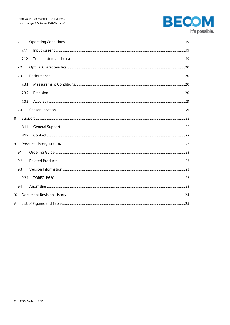

|    | 7.1   |  |
|----|-------|--|
|    | 7.1.1 |  |
|    | 7.1.2 |  |
|    | 7.2   |  |
|    | 7.3   |  |
|    | 7.3.1 |  |
|    | 7.3.2 |  |
|    | 7.3.3 |  |
|    | 7.4   |  |
| 8  |       |  |
|    | 8.1.1 |  |
|    | 8.1.2 |  |
| 9  |       |  |
|    | 9.1   |  |
|    | 9.2   |  |
|    | 9.3   |  |
|    | 9.3.1 |  |
|    | 9.4   |  |
| 10 |       |  |
| A  |       |  |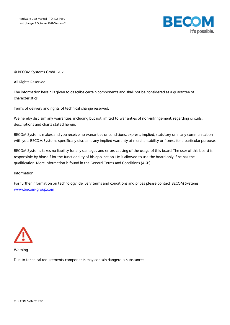

© BECOM Systems GmbH 2021

All Rights Reserved.

The information herein is given to describe certain components and shall not be considered as a guarantee of characteristics.

Terms of delivery and rights of technical change reserved.

We hereby disclaim any warranties, including but not limited to warranties of non-infringement, regarding circuits, descriptions and charts stated herein.

BECOM Systems makes and you receive no warranties or conditions, express, implied, statutory or in any communication with you. BECOM Systems specifically disclaims any implied warranty of merchantability or fitness for a particular purpose.

BECOM Systems takes no liability for any damages and errors causing of the usage of this board. The user of this board is responsible by himself for the functionality of his application. He is allowed to use the board only if he has the qualification. More information is found in the General Terms and Conditions (AGB).

#### Information

For further information on technology, delivery terms and conditions and prices please contact BECOM Systems [www.becom-group.com](http://www.becom-group.com/)



Warning

Due to technical requirements components may contain dangerous substances.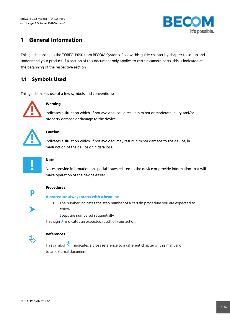

## <span id="page-5-0"></span>**1 General Information**

This guide applies to the TOREO-P650 from BECOM Systems. Follow this guide chapter by chapter to set up and understand your product. If a section of this document only applies to certain camera parts, this is indicated at the beginning of the respective section.

## <span id="page-5-1"></span>**1.1 Symbols Used**

This guide makes use of a few symbols and conventions:



#### **Warning**

Indicates a situation which, if not avoided, could result in minor or moderate injury and/or property damage or damage to the device.



#### **Caution**

Indicates a situation which, if not avoided, may result in minor damage to the device, in malfunction of the device or in data loss.



#### **Note**

Notes provide information on special issues related to the device or provide information that will make operation of the device easier.



#### **Procedures**

#### **A procedure always starts with a headline**

1. The number indicates the step number of a certain procedure you are expected to follow.

Steps are numbered sequentially.

This sign  $\blacktriangleright$  indicates an expected result of your action.



#### **References**

This symbol  $\overline{\mathbb{Q}}$  indicates a cross reference to a different chapter of this manual or to an external document.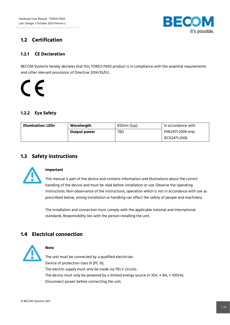

## <span id="page-6-0"></span>**1.2 Certification**

#### <span id="page-6-1"></span>**1.2.1 CE Declaration**

BECOM Systems hereby declares that this TOREO-P650 product is in compliance with the essential requirements and other relevant provisions of Directive 2014/35/EU.

# $\epsilon$

## <span id="page-6-2"></span>**1.2.2 Eye Safety**

| <b>Illumination: LEDs</b> | Wavelength          | 850nm (typ) | In accordance with |
|---------------------------|---------------------|-------------|--------------------|
|                           | <b>Output power</b> | TBD         | EN62471:2008 resp. |
|                           |                     |             | IEC62471:2006      |

## <span id="page-6-3"></span>**1.3 Safety instructions**



#### **Important**

This manual is part of the device and contains information and illustrations about the correct handling of the device and must be read before installation or use. Observe the operating instructions. Non-observance of the instructions, operation which is not in accordance with use as prescribed below, wrong installation or handling can affect the safety of people and machinery.

The installation and connection must comply with the applicable national and international standards. Responsibility lies with the person installing the unit.

## <span id="page-6-4"></span>**1.4 Electrical connection**



#### **Note**

The unit must be connected by a qualified electrician. Device of protection class III (PC III). The electric supply must only be made via PELV circuits. The device must only be powered by a limited energy source ( $\leq 30V$ ;  $\leq 8A$ ;  $\leq 100VA$ ). Disconnect power before connecting the unit.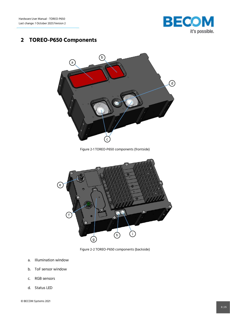

## <span id="page-7-0"></span>**2 TOREO-P650 Components**



Figure 2-1 TOREO-P650 components (frontside)

<span id="page-7-1"></span>

Figure 2-2 TOREO-P650 components (backside)

- <span id="page-7-2"></span>a. Illumination window
- b. ToF sensor window
- c. RGB sensors
- d. Status LED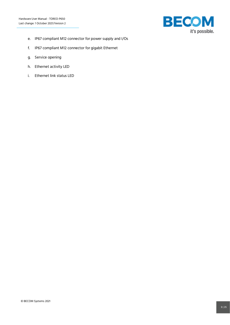

- e. IP67 compliant M12 connector for power supply and I/Os
- f. IP67 compliant M12 connector for gigabit Ethernet
- g. Service opening
- h. Ethernet activity LED
- i. Ethernet link status LED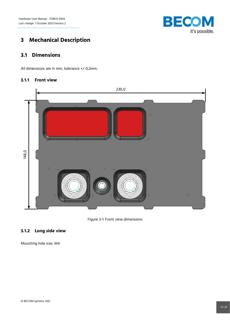

## <span id="page-9-0"></span>**3 Mechanical Description**

## <span id="page-9-1"></span>**3.1 Dimensions**

All dimensions are in mm, tolerance +/-0,2mm.

#### <span id="page-9-2"></span>**3.1.1 Front view**



Figure 3-1: Front view dimensions

## <span id="page-9-4"></span><span id="page-9-3"></span>**3.1.2 Long side view**

Mounting hole size: M4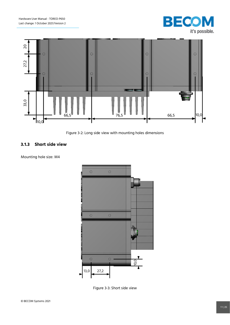



Figure 3-2: Long side view with mounting holes dimensions

#### <span id="page-10-1"></span><span id="page-10-0"></span>**3.1.3 Short side view**

Mounting hole size: M4



<span id="page-10-2"></span>Figure 3-3: Short side view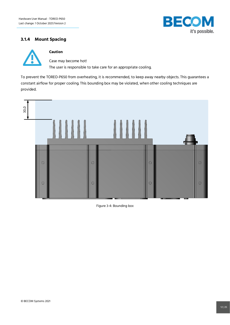

#### <span id="page-11-0"></span>**3.1.4 Mount Spacing**



#### **Caution**

Case may become hot! The user is responsible to take care for an appropriate cooling.

To prevent the TOREO-P650 from overheating, it is recommended, to keep away nearby objects. This guarantees a constant airflow for proper cooling. This bounding box may be violated, when other cooling techniques are provided.



<span id="page-11-1"></span>Figure 3-4: Bounding box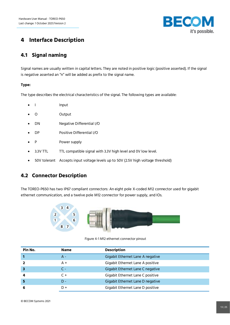

## <span id="page-12-0"></span>**4 Interface Description**

## <span id="page-12-1"></span>**4.1 Signal naming**

Signal names are usually written in capital letters. They are noted in positive logic (positive asserted). If the signal is negative asserted an "n" will be added as prefix to the signal name.

#### **Type:**

The type describes the electrical characteristics of the signal. The following types are available:

- I Input
- O Output
- DN Negative Differential I/O
- DP Positive Differential I/O
- P Power supply
- 3.3V TTL TTL compatible signal with 3.3V high level and 0V low level.
- 50V tolerant Accepts input voltage levels up to 50V (2.5V high voltage threshold)

## <span id="page-12-2"></span>**4.2 Connector Description**

The TOREO-P650 has two IP67 compliant connectors: An eight pole X-coded M12 connector used for gigabit ethernet communication, and a twelve pole M12 connector for power supply, and IOs.

<span id="page-12-3"></span>

Figure 4-1 M12 ethernet connector pinout

| Pin No. | <b>Name</b> | <b>Description</b>               |
|---------|-------------|----------------------------------|
|         | A -         | Gigabit Ethernet Lane A negative |
|         | A +         | Gigabit Ethernet Lane A positive |
|         | C -         | Gigabit Ethernet Lane C negative |
| 4       | $C +$       | Gigabit Ethernet Lane C positive |
|         | $D -$       | Gigabit Ethernet Lane D negative |
| 6       | D+          | Gigabit Ethernet Lane D positive |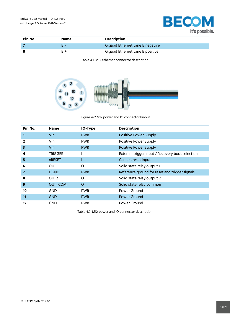

<span id="page-13-1"></span>

| Pin No. | Name | <b>Description</b>               |
|---------|------|----------------------------------|
|         | к    | Gigabit Ethernet Lane B negative |
|         | R +  | Gigabit Ethernet Lane B positive |

Table 4.1: M12 ethernet connector description



<span id="page-13-0"></span>Figure 4-2 M12 power and IO connector Pinout

| Pin No. | <b>Name</b>      | IO-Type    | <b>Description</b>                               |
|---------|------------------|------------|--------------------------------------------------|
|         | Vin              | <b>PWR</b> | <b>Positive Power Supply</b>                     |
|         | Vin              | <b>PWR</b> | Positive Power Supply                            |
| 3       | Vin              | <b>PWR</b> | <b>Positive Power Supply</b>                     |
| 4       | <b>TRIGGER</b>   |            | External trigger input / Recovery boot selection |
| 5       | <b>nRESET</b>    |            | Camera reset input                               |
| 6       | OUT1             | O          | Solid state relay output 1                       |
| 7       | <b>DGND</b>      | <b>PWR</b> | Reference ground for reset and trigger signals   |
| 8       | OUT <sub>2</sub> | O          | Solid state relay output 2                       |
| 9       | OUT_COM          | $\circ$    | Solid state relay common                         |
| 10      | <b>GND</b>       | <b>PWR</b> | Power Ground                                     |
| 11      | <b>GND</b>       | <b>PWR</b> | Power Ground                                     |
| 12      | <b>GND</b>       | <b>PWR</b> | Power Ground                                     |

<span id="page-13-2"></span>Table 4.2: M12 power and IO connector description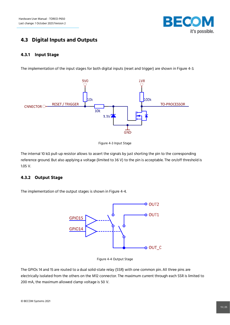

## <span id="page-14-0"></span>**4.3 Digital Inputs and Outputs**

#### <span id="page-14-1"></span>**4.3.1 Input Stage**

The implementation of the input stages for both digital inputs (reset and trigger) are shown in [Figure 4-3.](#page-14-3)





<span id="page-14-3"></span>The internal 10 kΩ pull-up resistor allows to assert the signals by just shorting the pin to the corresponding reference ground. But also applying a voltage (limited to 36 V) to the pin is acceptable. The on/off threshold is 1.05 V.

#### <span id="page-14-2"></span>**4.3.2 Output Stage**

The implementation of the output stages is shown i[n Figure 4-4.](#page-14-4)



Figure 4-4 Output Stage

<span id="page-14-4"></span>The GPIOs 14 and 15 are routed to a dual solid-state relay (SSR) with one common pin. All three pins are electrically isolated from the others on the M12 connector. The maximum current through each SSR is limited to 200 mA, the maximum allowed clamp voltage is 50 V.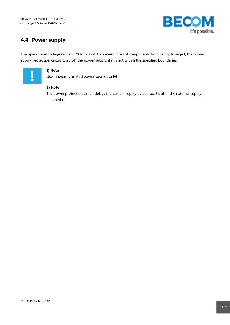

## <span id="page-15-0"></span>**4.4 Power supply**

The operational voltage range is 20 V to 30 V. To prevent internal components from being damaged, the power supply protection circuit turns off the power supply, if it is not within the specified boundaries.



#### **1) Note**

Use inherently limited power sources only!

#### **2) Note**

The power protection circuit delays the camera supply by approx. 5 s after the external supply is turned on.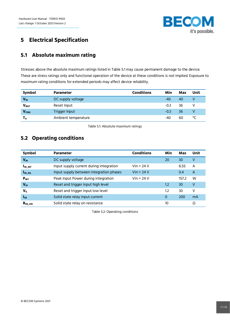

## <span id="page-16-0"></span>**5 Electrical Specification**

## <span id="page-16-1"></span>**5.1 Absolute maximum rating**

Stresses above the absolute maximum ratings listed i[n Table 5.1](#page-16-3) may cause permanent damage to the device. These are stress ratings only and functional operation of the device at these conditions is not implied. Exposure to maximum rating conditions for extended periods may affect device reliability.

| Symbol                | <b>Parameter</b>     | <b>Conditions</b> | Min    | Max | Unit |
|-----------------------|----------------------|-------------------|--------|-----|------|
| <b>V<sub>IN</sub></b> | DC supply voltage    |                   | -40    | 40  | V    |
| V <sub>IRST</sub>     | Reset Input          |                   | $-0.3$ | 36  | V    |
| <b>VITRG</b>          | <b>Trigger Input</b> |                   | $-0.3$ | 36  | V    |
| T <sub>A</sub>        | Ambient temperature  |                   | -40    | 60  | °C   |

Table 5.1: Absolute maximum ratings

## <span id="page-16-3"></span><span id="page-16-2"></span>**5.2 Operating conditions**

<span id="page-16-4"></span>

| Symbol          | <b>Parameter</b>                        | <b>Conditions</b> | Min | Max   | Unit           |
|-----------------|-----------------------------------------|-------------------|-----|-------|----------------|
| $V_{IN}$        | DC supply voltage                       |                   | 20  | 30    | V              |
| $I_{IN\_INT}$   | Input supply current during integration | Vin = 24 V        |     | 6.55  | A              |
| $I_{IN\_IDL}$   | Input supply between integration phases | $Vin = 24 V$      |     | 0.4   | $\overline{A}$ |
| $P_{INT}$       | Peak Input Power during integration     | $Vin = 24 V$      |     | 157.2 | W              |
| V <sub>IH</sub> | Reset and trigger input high level      |                   | 1.2 | 30    | V              |
| $V_{IL}$        | Reset and trigger input low level       |                   | 1.2 | 30    | V              |
| $I_{SR}$        | Solid state relay input current         |                   | 0   | 200   | mA             |
| $R_{SR\_ON}$    | Solid state relay on resistance         |                   | 10  |       | Ω              |

Table 5.2: Operating conditions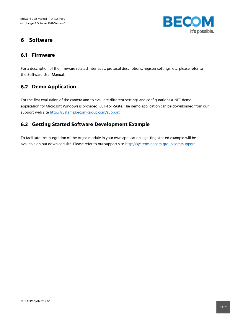

## <span id="page-17-0"></span>**6 Software**

## <span id="page-17-1"></span>**6.1 Firmware**

For a description of the firmware related interfaces, protocol descriptions, register settings, etc. please refer to the Software User Manual.

## <span id="page-17-2"></span>**6.2 Demo Application**

For the first evaluation of the camera and to evaluate different settings and configurations a .NET demo application for Microsoft Windows is provided: BLT-ToF-Suite. The demo application can be downloaded from our support web site [http://systems.becom-group.com/support.](http://systems.becom-group.com/support)

## <span id="page-17-3"></span>**6.3 Getting Started Software Development Example**

To facilitate the integration of the Argos module in your own application a getting started example will be available on our download site. Please refer to our support site [http://systems.becom-group.com/support.](http://systems.becom-group.com/support)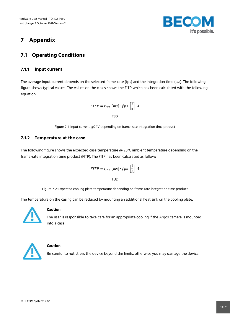

## <span id="page-18-0"></span>**7 Appendix**

## <span id="page-18-1"></span>**7.1 Operating Conditions**

#### <span id="page-18-2"></span>**7.1.1 Input current**

The average input current depends on the selected frame-rate (fps) and the integration time ( $t_{INT}$ ). The following figure shows typical values. The values on the x axis shows the FITP which has been calculated with the following equation:

$$
FITP = t_{INT} [ms] \cdot fps \left[\frac{1}{s}\right] \cdot 4
$$

TBD

Figure 7-1: Input current @24V depending on frame-rate integration time product

#### <span id="page-18-4"></span><span id="page-18-3"></span>**7.1.2 Temperature at the case**

The following figure shows the expected case temperature @ 25°C ambient temperature depending on the frame-rate integration time product (FITP). The FITP has been calculated as follow:

$$
FITP = t_{INT} [ms] \cdot fps \left[\frac{1}{s}\right] \cdot 4
$$
  
TBD

Figure 7-2: Expected cooling plate temperature depending on frame-rate integration time product

<span id="page-18-5"></span>The temperature on the casing can be reduced by mounting an additional heat sink on the cooling plate.



#### **Caution**

The user is responsible to take care for an appropriate cooling if the Argos camera is mounted into a case.



#### **Caution**

Be careful to not stress the device beyond the limits, otherwise you may damage the device.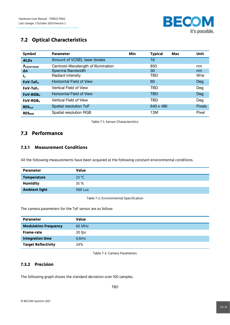

## <span id="page-19-0"></span>**7.2 Optical Characteristics**

| Symbol               | <b>Parameter</b>                    | Min | <b>Typical</b> | <b>Max</b> | Unit          |
|----------------------|-------------------------------------|-----|----------------|------------|---------------|
| #LDs                 | Amount of VCSEL laser diodes        |     | 16             |            |               |
| <b>ACENTROID</b>     | Centroid-Wavelength of Illumination |     | 850            |            | nm            |
| Δλ                   | Spectral Bandwidth                  |     | 30             |            | nm            |
| l,                   | Radiant intensity                   |     | TBD            |            | W/sr          |
| FoV-ToF <sub>H</sub> | <b>Horizontal Field of View</b>     |     | 60             |            | Deg           |
| FoV-ToF <sub>v</sub> | Vertical Field of View              |     | TBD            |            | Deg           |
| FoV-RGB <sub>H</sub> | <b>Horizontal Field of View</b>     |     | <b>TBD</b>     |            | Deg           |
| $FOV-RGBv$           | Vertical Field of View              |     | TBD            |            | Deg           |
| RES <sub>TOF</sub>   | Spatial resolution ToF              |     | 640 x 480      |            | <b>Pixels</b> |
| <b>RES</b> RGR       | Spatial resolution RGB              |     | 13M            |            | Pixel         |

Table 7-1: Sensor Characteristics

## <span id="page-19-4"></span><span id="page-19-1"></span>**7.3 Performance**

#### <span id="page-19-2"></span>**7.3.1 Measurement Conditions**

All the following measurements have been acquired at the following constant environmental conditions.

| 23 °C          |
|----------------|
| 35%            |
| <b>500 Lux</b> |
|                |

Table 7-2: Environmental Specification

<span id="page-19-5"></span>The camera parameters for the ToF sensor are as follow:

| <b>Parameter</b>            | Value  |
|-----------------------------|--------|
| <b>Modulation Frequency</b> | 60 MHz |
| Frame-rate                  | 20 fps |
| <b>Integration time</b>     | 0,6ms  |
| <b>Target Reflectivity</b>  | 24%    |

Table 7-3: Camera Parameters

#### <span id="page-19-6"></span><span id="page-19-3"></span>**7.3.2 Precision**

The following graph shows the standard deviation over 100 samples.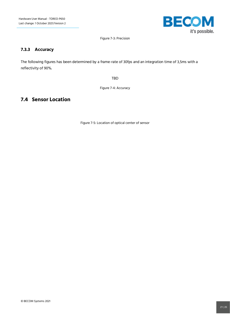

Figure 7-3: Precision

#### <span id="page-20-2"></span><span id="page-20-0"></span>**7.3.3 Accuracy**

The following figures has been determined by a frame-rate of 30fps and an integration time of 3,5ms with a reflectivity of 90%.

TBD

Figure 7-4: Accuracy

## <span id="page-20-4"></span><span id="page-20-3"></span><span id="page-20-1"></span>**7.4 Sensor Location**

Figure 7-5: Location of optical center of sensor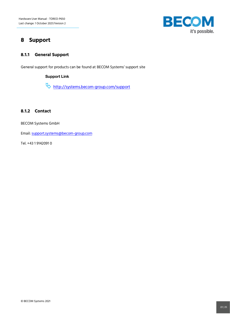

## <span id="page-21-0"></span>**8 Support**

#### <span id="page-21-1"></span>**8.1.1 General Support**

General support for products can be found at BECOM Systems' support site

#### Support Link

<http://systems.becom-group.com/support>

#### <span id="page-21-2"></span>**8.1.2 Contact**

BECOM Systems GmbH

Email[: support.systems@becom-group.com](mailto:support.systems@becom-group.com)

Tel. +43 1 9142091 0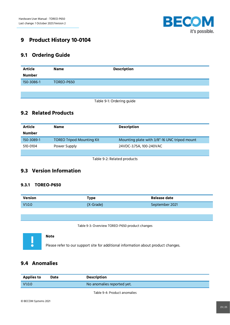

## <span id="page-22-0"></span>**9 Product History 10-0104**

## <span id="page-22-1"></span>**9.1 Ordering Guide**

| <b>Article</b> | <b>Name</b> | <b>Description</b> |
|----------------|-------------|--------------------|
| <b>Number</b>  |             |                    |
| 150-3086-1     | TOREO-P650  |                    |
|                |             |                    |
|                |             |                    |

Table 9-1: Ordering guide

## <span id="page-22-6"></span><span id="page-22-2"></span>**9.2 Related Products**

| Article       | <b>Name</b>                      | <b>Description</b>                           |
|---------------|----------------------------------|----------------------------------------------|
| <b>Number</b> |                                  |                                              |
| 150-3089-1    | <b>TOREO Tripod Mounting Kit</b> | Mounting plate with 3/8"-16 UNC tripod mount |
| 510-0104      | Power Supply                     | 24VDC-3.75A, 100-240VAC                      |
|               |                                  |                                              |

Table 9-2: Related products

## <span id="page-22-7"></span><span id="page-22-3"></span>**9.3 Version Information**

#### <span id="page-22-4"></span>**9.3.1 TOREO-P650**

| Version | Type      | Release date   |
|---------|-----------|----------------|
| V1.0.0  | (X-Grade) | September 2021 |
|         |           |                |

Table 9-3: Overview TOREO-P650 product changes

<span id="page-22-8"></span>

#### **Note**

Please refer to our support site for additional information about product changes.

## <span id="page-22-5"></span>**9.4 Anomalies**

<span id="page-22-9"></span>

| <b>Applies to</b> | <b>Date</b> | <b>Description</b>         |
|-------------------|-------------|----------------------------|
| V1.0.0            |             | No anomalies reported yet. |

Table 9-4: Product anomalies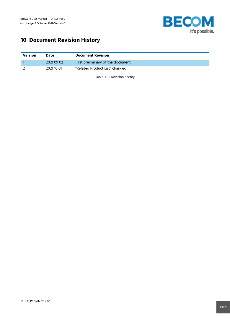

## <span id="page-23-0"></span>**10 Document Revision History**

<span id="page-23-1"></span>

| <b>Version</b> | <b>Date</b> | <b>Document Revision</b>          |
|----------------|-------------|-----------------------------------|
|                | 2021 09 02  | First preliminary of the document |
|                | 2021 10 01  | "Related Product List" changed    |

Table 10-1: Revision history